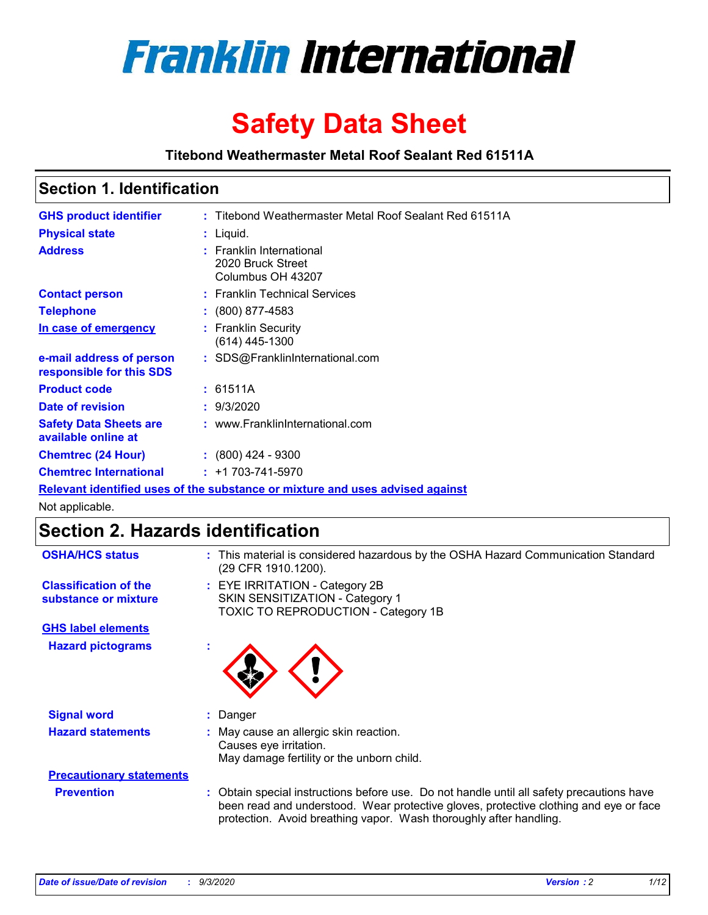

# **Safety Data Sheet**

**Titebond Weathermaster Metal Roof Sealant Red 61511A**

### **Section 1. Identification**

| <b>GHS product identifier</b>                                                 |  | : Titebond Weathermaster Metal Roof Sealant Red 61511A             |  |  |
|-------------------------------------------------------------------------------|--|--------------------------------------------------------------------|--|--|
| <b>Physical state</b>                                                         |  | $:$ Liquid.                                                        |  |  |
| <b>Address</b>                                                                |  | : Franklin International<br>2020 Bruck Street<br>Columbus OH 43207 |  |  |
| <b>Contact person</b>                                                         |  | : Franklin Technical Services                                      |  |  |
| <b>Telephone</b>                                                              |  | $\colon$ (800) 877-4583                                            |  |  |
| In case of emergency                                                          |  | : Franklin Security<br>(614) 445-1300                              |  |  |
| e-mail address of person<br>responsible for this SDS                          |  | : SDS@FranklinInternational.com                                    |  |  |
| <b>Product code</b>                                                           |  | : 61511A                                                           |  |  |
| Date of revision                                                              |  | : 9/3/2020                                                         |  |  |
| <b>Safety Data Sheets are</b><br>available online at                          |  | : www.FranklinInternational.com                                    |  |  |
| <b>Chemtrec (24 Hour)</b>                                                     |  | $\div$ (800) 424 - 9300                                            |  |  |
| <b>Chemtrec International</b>                                                 |  | $: +1703 - 741 - 5970$                                             |  |  |
| Relevant identified uses of the substance or mixture and uses advised against |  |                                                                    |  |  |

Not applicable.

## **Section 2. Hazards identification**

| <b>OSHA/HCS status</b>                               |    | : This material is considered hazardous by the OSHA Hazard Communication Standard<br>(29 CFR 1910.1200).                                                                                                                                                 |
|------------------------------------------------------|----|----------------------------------------------------------------------------------------------------------------------------------------------------------------------------------------------------------------------------------------------------------|
| <b>Classification of the</b><br>substance or mixture |    | : EYE IRRITATION - Category 2B<br>SKIN SENSITIZATION - Category 1<br>TOXIC TO REPRODUCTION - Category 1B                                                                                                                                                 |
| <b>GHS label elements</b>                            |    |                                                                                                                                                                                                                                                          |
| <b>Hazard pictograms</b>                             | ×. |                                                                                                                                                                                                                                                          |
| <b>Signal word</b>                                   | ÷. | Danger                                                                                                                                                                                                                                                   |
| <b>Hazard statements</b>                             |    | May cause an allergic skin reaction.<br>Causes eye irritation.<br>May damage fertility or the unborn child.                                                                                                                                              |
| <b>Precautionary statements</b>                      |    |                                                                                                                                                                                                                                                          |
| <b>Prevention</b>                                    |    | : Obtain special instructions before use. Do not handle until all safety precautions have<br>been read and understood. Wear protective gloves, protective clothing and eye or face<br>protection. Avoid breathing vapor. Wash thoroughly after handling. |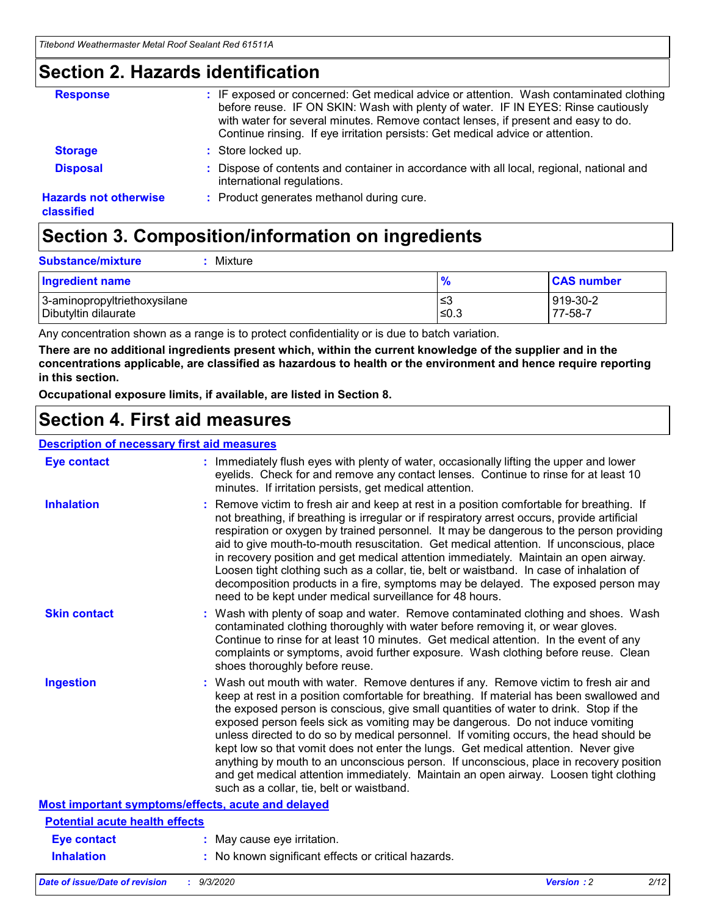### **Section 2. Hazards identification**

| <b>Response</b>                            | : IF exposed or concerned: Get medical advice or attention. Wash contaminated clothing<br>before reuse. IF ON SKIN: Wash with plenty of water. IF IN EYES: Rinse cautiously<br>with water for several minutes. Remove contact lenses, if present and easy to do.<br>Continue rinsing. If eye irritation persists: Get medical advice or attention. |
|--------------------------------------------|----------------------------------------------------------------------------------------------------------------------------------------------------------------------------------------------------------------------------------------------------------------------------------------------------------------------------------------------------|
| <b>Storage</b>                             | : Store locked up.                                                                                                                                                                                                                                                                                                                                 |
| <b>Disposal</b>                            | : Dispose of contents and container in accordance with all local, regional, national and<br>international regulations.                                                                                                                                                                                                                             |
| <b>Hazards not otherwise</b><br>classified | : Product generates methanol during cure.                                                                                                                                                                                                                                                                                                          |

# **Section 3. Composition/information on ingredients**

| <b>Substance/mixture</b> | Mixture |
|--------------------------|---------|
|                          |         |

| <b>Ingredient name</b>       | $\frac{9}{6}$ | <b>CAS number</b> |
|------------------------------|---------------|-------------------|
| 3-aminopropyltriethoxysilane | ՝≤3           | 919-30-2          |
| Dibutyltin dilaurate         | ∣≤0.3         | 77-58-7           |

Any concentration shown as a range is to protect confidentiality or is due to batch variation.

**There are no additional ingredients present which, within the current knowledge of the supplier and in the concentrations applicable, are classified as hazardous to health or the environment and hence require reporting in this section.**

**Occupational exposure limits, if available, are listed in Section 8.**

### **Section 4. First aid measures**

| <b>Description of necessary first aid measures</b> |                                                                                                                                                                                                                                                                                                                                                                                                                                                                                                                                                                                                                                                                                                                                                                           |
|----------------------------------------------------|---------------------------------------------------------------------------------------------------------------------------------------------------------------------------------------------------------------------------------------------------------------------------------------------------------------------------------------------------------------------------------------------------------------------------------------------------------------------------------------------------------------------------------------------------------------------------------------------------------------------------------------------------------------------------------------------------------------------------------------------------------------------------|
| <b>Eye contact</b>                                 | : Immediately flush eyes with plenty of water, occasionally lifting the upper and lower<br>eyelids. Check for and remove any contact lenses. Continue to rinse for at least 10<br>minutes. If irritation persists, get medical attention.                                                                                                                                                                                                                                                                                                                                                                                                                                                                                                                                 |
| <b>Inhalation</b>                                  | : Remove victim to fresh air and keep at rest in a position comfortable for breathing. If<br>not breathing, if breathing is irregular or if respiratory arrest occurs, provide artificial<br>respiration or oxygen by trained personnel. It may be dangerous to the person providing<br>aid to give mouth-to-mouth resuscitation. Get medical attention. If unconscious, place<br>in recovery position and get medical attention immediately. Maintain an open airway.<br>Loosen tight clothing such as a collar, tie, belt or waistband. In case of inhalation of<br>decomposition products in a fire, symptoms may be delayed. The exposed person may<br>need to be kept under medical surveillance for 48 hours.                                                       |
| <b>Skin contact</b>                                | : Wash with plenty of soap and water. Remove contaminated clothing and shoes. Wash<br>contaminated clothing thoroughly with water before removing it, or wear gloves.<br>Continue to rinse for at least 10 minutes. Get medical attention. In the event of any<br>complaints or symptoms, avoid further exposure. Wash clothing before reuse. Clean<br>shoes thoroughly before reuse.                                                                                                                                                                                                                                                                                                                                                                                     |
| <b>Ingestion</b>                                   | : Wash out mouth with water. Remove dentures if any. Remove victim to fresh air and<br>keep at rest in a position comfortable for breathing. If material has been swallowed and<br>the exposed person is conscious, give small quantities of water to drink. Stop if the<br>exposed person feels sick as vomiting may be dangerous. Do not induce vomiting<br>unless directed to do so by medical personnel. If vomiting occurs, the head should be<br>kept low so that vomit does not enter the lungs. Get medical attention. Never give<br>anything by mouth to an unconscious person. If unconscious, place in recovery position<br>and get medical attention immediately. Maintain an open airway. Loosen tight clothing<br>such as a collar, tie, belt or waistband. |
| Most important symptoms/effects, acute and delayed |                                                                                                                                                                                                                                                                                                                                                                                                                                                                                                                                                                                                                                                                                                                                                                           |
| <b>Potential acute health effects</b>              |                                                                                                                                                                                                                                                                                                                                                                                                                                                                                                                                                                                                                                                                                                                                                                           |
| <b>Eye contact</b>                                 | : May cause eye irritation.                                                                                                                                                                                                                                                                                                                                                                                                                                                                                                                                                                                                                                                                                                                                               |
| <b>Inhalation</b>                                  | : No known significant effects or critical hazards.                                                                                                                                                                                                                                                                                                                                                                                                                                                                                                                                                                                                                                                                                                                       |
|                                                    |                                                                                                                                                                                                                                                                                                                                                                                                                                                                                                                                                                                                                                                                                                                                                                           |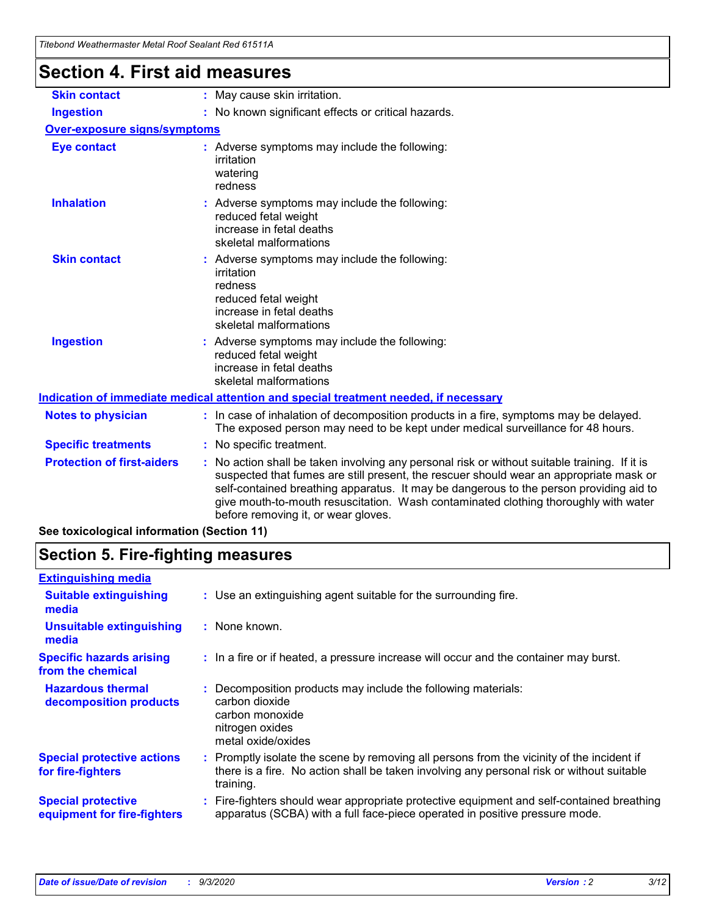| Titebond Weathermaster Metal Roof Sealant Red 61511A                                 |                                                                                                                                                                                                                                                                                                                                                                                                               |  |  |  |
|--------------------------------------------------------------------------------------|---------------------------------------------------------------------------------------------------------------------------------------------------------------------------------------------------------------------------------------------------------------------------------------------------------------------------------------------------------------------------------------------------------------|--|--|--|
| <b>Section 4. First aid measures</b>                                                 |                                                                                                                                                                                                                                                                                                                                                                                                               |  |  |  |
| <b>Skin contact</b>                                                                  | : May cause skin irritation.                                                                                                                                                                                                                                                                                                                                                                                  |  |  |  |
| <b>Ingestion</b>                                                                     | : No known significant effects or critical hazards.                                                                                                                                                                                                                                                                                                                                                           |  |  |  |
| <b>Over-exposure signs/symptoms</b>                                                  |                                                                                                                                                                                                                                                                                                                                                                                                               |  |  |  |
| <b>Eye contact</b>                                                                   | : Adverse symptoms may include the following:<br>irritation<br>watering<br>redness                                                                                                                                                                                                                                                                                                                            |  |  |  |
| <b>Inhalation</b>                                                                    | : Adverse symptoms may include the following:<br>reduced fetal weight<br>increase in fetal deaths<br>skeletal malformations                                                                                                                                                                                                                                                                                   |  |  |  |
| <b>Skin contact</b>                                                                  | Adverse symptoms may include the following:<br>irritation<br>redness<br>reduced fetal weight<br>increase in fetal deaths<br>skeletal malformations                                                                                                                                                                                                                                                            |  |  |  |
| <b>Ingestion</b>                                                                     | : Adverse symptoms may include the following:<br>reduced fetal weight<br>increase in fetal deaths<br>skeletal malformations                                                                                                                                                                                                                                                                                   |  |  |  |
| Indication of immediate medical attention and special treatment needed, if necessary |                                                                                                                                                                                                                                                                                                                                                                                                               |  |  |  |
| <b>Notes to physician</b>                                                            | : In case of inhalation of decomposition products in a fire, symptoms may be delayed.<br>The exposed person may need to be kept under medical surveillance for 48 hours.                                                                                                                                                                                                                                      |  |  |  |
| <b>Specific treatments</b>                                                           | : No specific treatment.                                                                                                                                                                                                                                                                                                                                                                                      |  |  |  |
| <b>Protection of first-aiders</b><br>aa taylaalaalaal infarmatian (Caatian 44)       | No action shall be taken involving any personal risk or without suitable training. If it is<br>suspected that fumes are still present, the rescuer should wear an appropriate mask or<br>self-contained breathing apparatus. It may be dangerous to the person providing aid to<br>give mouth-to-mouth resuscitation. Wash contaminated clothing thoroughly with water<br>before removing it, or wear gloves. |  |  |  |

**See toxicological information (Section 11)**

### **Section 5. Fire-fighting measures**

| <b>Extinguishing media</b>                               |                                                                                                                                                                                                     |
|----------------------------------------------------------|-----------------------------------------------------------------------------------------------------------------------------------------------------------------------------------------------------|
| <b>Suitable extinguishing</b><br>media                   | : Use an extinguishing agent suitable for the surrounding fire.                                                                                                                                     |
| <b>Unsuitable extinguishing</b><br>media                 | : None known.                                                                                                                                                                                       |
| <b>Specific hazards arising</b><br>from the chemical     | : In a fire or if heated, a pressure increase will occur and the container may burst.                                                                                                               |
| <b>Hazardous thermal</b><br>decomposition products       | Decomposition products may include the following materials:<br>carbon dioxide<br>carbon monoxide<br>nitrogen oxides<br>metal oxide/oxides                                                           |
| <b>Special protective actions</b><br>for fire-fighters   | : Promptly isolate the scene by removing all persons from the vicinity of the incident if<br>there is a fire. No action shall be taken involving any personal risk or without suitable<br>training. |
| <b>Special protective</b><br>equipment for fire-fighters | Fire-fighters should wear appropriate protective equipment and self-contained breathing<br>apparatus (SCBA) with a full face-piece operated in positive pressure mode.                              |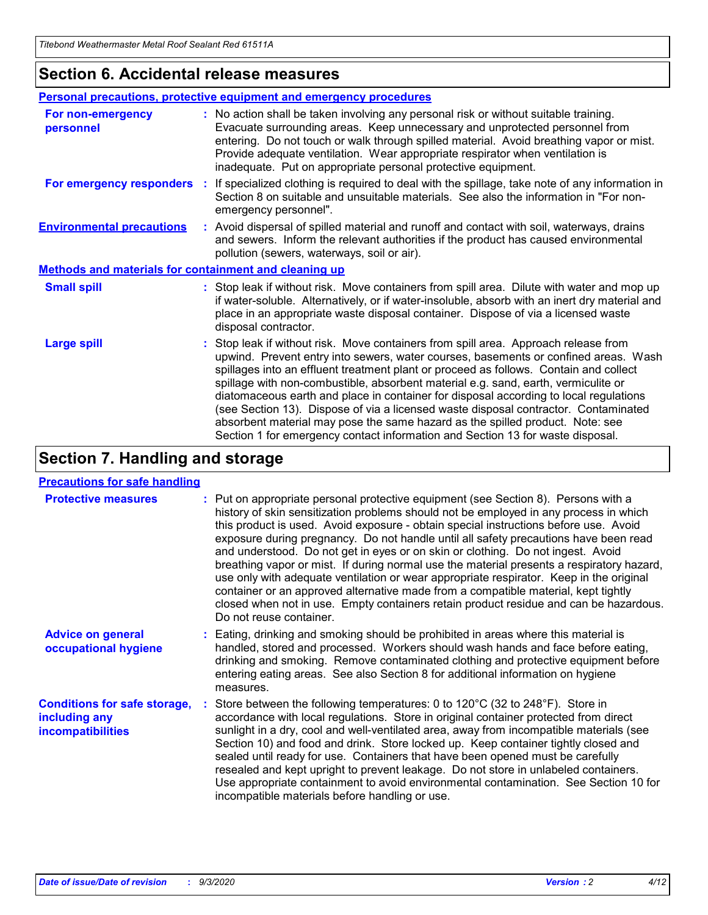### **Section 6. Accidental release measures**

|                                                              | Personal precautions, protective equipment and emergency procedures                                                                                                                                                                                                                                                                                                                                                                                                                                                                                                                                                                                                                                          |  |  |  |
|--------------------------------------------------------------|--------------------------------------------------------------------------------------------------------------------------------------------------------------------------------------------------------------------------------------------------------------------------------------------------------------------------------------------------------------------------------------------------------------------------------------------------------------------------------------------------------------------------------------------------------------------------------------------------------------------------------------------------------------------------------------------------------------|--|--|--|
| For non-emergency<br>personnel                               | : No action shall be taken involving any personal risk or without suitable training.<br>Evacuate surrounding areas. Keep unnecessary and unprotected personnel from<br>entering. Do not touch or walk through spilled material. Avoid breathing vapor or mist.<br>Provide adequate ventilation. Wear appropriate respirator when ventilation is<br>inadequate. Put on appropriate personal protective equipment.                                                                                                                                                                                                                                                                                             |  |  |  |
| For emergency responders                                     | : If specialized clothing is required to deal with the spillage, take note of any information in<br>Section 8 on suitable and unsuitable materials. See also the information in "For non-<br>emergency personnel".                                                                                                                                                                                                                                                                                                                                                                                                                                                                                           |  |  |  |
| <b>Environmental precautions</b>                             | : Avoid dispersal of spilled material and runoff and contact with soil, waterways, drains<br>and sewers. Inform the relevant authorities if the product has caused environmental<br>pollution (sewers, waterways, soil or air).                                                                                                                                                                                                                                                                                                                                                                                                                                                                              |  |  |  |
| <b>Methods and materials for containment and cleaning up</b> |                                                                                                                                                                                                                                                                                                                                                                                                                                                                                                                                                                                                                                                                                                              |  |  |  |
| <b>Small spill</b>                                           | : Stop leak if without risk. Move containers from spill area. Dilute with water and mop up<br>if water-soluble. Alternatively, or if water-insoluble, absorb with an inert dry material and<br>place in an appropriate waste disposal container. Dispose of via a licensed waste<br>disposal contractor.                                                                                                                                                                                                                                                                                                                                                                                                     |  |  |  |
| <b>Large spill</b>                                           | : Stop leak if without risk. Move containers from spill area. Approach release from<br>upwind. Prevent entry into sewers, water courses, basements or confined areas. Wash<br>spillages into an effluent treatment plant or proceed as follows. Contain and collect<br>spillage with non-combustible, absorbent material e.g. sand, earth, vermiculite or<br>diatomaceous earth and place in container for disposal according to local regulations<br>(see Section 13). Dispose of via a licensed waste disposal contractor. Contaminated<br>absorbent material may pose the same hazard as the spilled product. Note: see<br>Section 1 for emergency contact information and Section 13 for waste disposal. |  |  |  |

### **Section 7. Handling and storage**

#### **Precautions for safe handling**

| <b>Protective measures</b>                                                       | : Put on appropriate personal protective equipment (see Section 8). Persons with a<br>history of skin sensitization problems should not be employed in any process in which<br>this product is used. Avoid exposure - obtain special instructions before use. Avoid<br>exposure during pregnancy. Do not handle until all safety precautions have been read<br>and understood. Do not get in eyes or on skin or clothing. Do not ingest. Avoid<br>breathing vapor or mist. If during normal use the material presents a respiratory hazard,<br>use only with adequate ventilation or wear appropriate respirator. Keep in the original<br>container or an approved alternative made from a compatible material, kept tightly<br>closed when not in use. Empty containers retain product residue and can be hazardous.<br>Do not reuse container. |
|----------------------------------------------------------------------------------|--------------------------------------------------------------------------------------------------------------------------------------------------------------------------------------------------------------------------------------------------------------------------------------------------------------------------------------------------------------------------------------------------------------------------------------------------------------------------------------------------------------------------------------------------------------------------------------------------------------------------------------------------------------------------------------------------------------------------------------------------------------------------------------------------------------------------------------------------|
| <b>Advice on general</b><br>occupational hygiene                                 | : Eating, drinking and smoking should be prohibited in areas where this material is<br>handled, stored and processed. Workers should wash hands and face before eating,<br>drinking and smoking. Remove contaminated clothing and protective equipment before<br>entering eating areas. See also Section 8 for additional information on hygiene<br>measures.                                                                                                                                                                                                                                                                                                                                                                                                                                                                                    |
| <b>Conditions for safe storage,</b><br>including any<br><i>incompatibilities</i> | Store between the following temperatures: 0 to $120^{\circ}$ C (32 to $248^{\circ}$ F). Store in<br>accordance with local regulations. Store in original container protected from direct<br>sunlight in a dry, cool and well-ventilated area, away from incompatible materials (see<br>Section 10) and food and drink. Store locked up. Keep container tightly closed and<br>sealed until ready for use. Containers that have been opened must be carefully<br>resealed and kept upright to prevent leakage. Do not store in unlabeled containers.<br>Use appropriate containment to avoid environmental contamination. See Section 10 for<br>incompatible materials before handling or use.                                                                                                                                                     |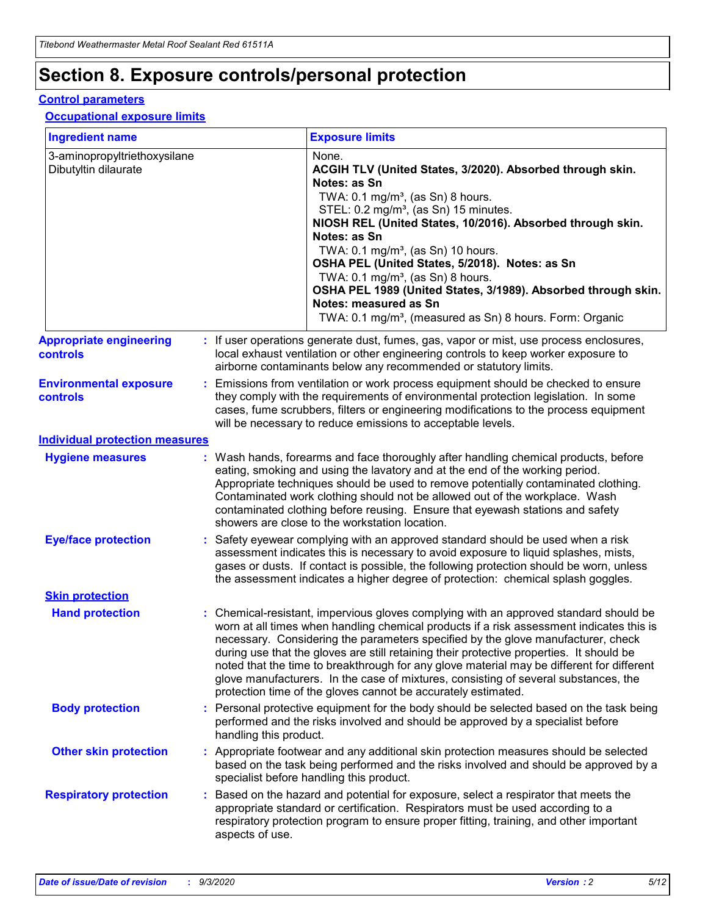# **Section 8. Exposure controls/personal protection**

#### **Control parameters**

#### **Occupational exposure limits**

| <b>Ingredient name</b>                               |    |                        | <b>Exposure limits</b>                                                                                                                                                                                                                                                                                                                                                                                                                                                                                                                                                                                                 |
|------------------------------------------------------|----|------------------------|------------------------------------------------------------------------------------------------------------------------------------------------------------------------------------------------------------------------------------------------------------------------------------------------------------------------------------------------------------------------------------------------------------------------------------------------------------------------------------------------------------------------------------------------------------------------------------------------------------------------|
| 3-aminopropyltriethoxysilane<br>Dibutyltin dilaurate |    |                        | None.<br>ACGIH TLV (United States, 3/2020). Absorbed through skin.<br>Notes: as Sn<br>TWA: $0.1 \text{ mg/m}^3$ , (as Sn) 8 hours.<br>STEL: 0.2 mg/m <sup>3</sup> , (as Sn) 15 minutes.<br>NIOSH REL (United States, 10/2016). Absorbed through skin.<br>Notes: as Sn<br>TWA: 0.1 mg/m <sup>3</sup> , (as Sn) 10 hours.<br>OSHA PEL (United States, 5/2018). Notes: as Sn<br>TWA: $0.1 \text{ mg/m}^3$ , (as Sn) 8 hours.<br>OSHA PEL 1989 (United States, 3/1989). Absorbed through skin.<br>Notes: measured as Sn<br>TWA: 0.1 mg/m <sup>3</sup> , (measured as Sn) 8 hours. Form: Organic                            |
| <b>Appropriate engineering</b><br>controls           |    |                        | : If user operations generate dust, fumes, gas, vapor or mist, use process enclosures,<br>local exhaust ventilation or other engineering controls to keep worker exposure to<br>airborne contaminants below any recommended or statutory limits.                                                                                                                                                                                                                                                                                                                                                                       |
| <b>Environmental exposure</b><br><b>controls</b>     |    |                        | Emissions from ventilation or work process equipment should be checked to ensure<br>they comply with the requirements of environmental protection legislation. In some<br>cases, fume scrubbers, filters or engineering modifications to the process equipment<br>will be necessary to reduce emissions to acceptable levels.                                                                                                                                                                                                                                                                                          |
| <b>Individual protection measures</b>                |    |                        |                                                                                                                                                                                                                                                                                                                                                                                                                                                                                                                                                                                                                        |
| <b>Hygiene measures</b>                              |    |                        | : Wash hands, forearms and face thoroughly after handling chemical products, before<br>eating, smoking and using the lavatory and at the end of the working period.<br>Appropriate techniques should be used to remove potentially contaminated clothing.<br>Contaminated work clothing should not be allowed out of the workplace. Wash<br>contaminated clothing before reusing. Ensure that eyewash stations and safety<br>showers are close to the workstation location.                                                                                                                                            |
| <b>Eye/face protection</b>                           |    |                        | Safety eyewear complying with an approved standard should be used when a risk<br>assessment indicates this is necessary to avoid exposure to liquid splashes, mists,<br>gases or dusts. If contact is possible, the following protection should be worn, unless<br>the assessment indicates a higher degree of protection: chemical splash goggles.                                                                                                                                                                                                                                                                    |
| <b>Skin protection</b>                               |    |                        |                                                                                                                                                                                                                                                                                                                                                                                                                                                                                                                                                                                                                        |
| <b>Hand protection</b>                               |    |                        | : Chemical-resistant, impervious gloves complying with an approved standard should be<br>worn at all times when handling chemical products if a risk assessment indicates this is<br>necessary. Considering the parameters specified by the glove manufacturer, check<br>during use that the gloves are still retaining their protective properties. It should be<br>noted that the time to breakthrough for any glove material may be different for different<br>glove manufacturers. In the case of mixtures, consisting of several substances, the<br>protection time of the gloves cannot be accurately estimated. |
| <b>Body protection</b>                               |    | handling this product. | Personal protective equipment for the body should be selected based on the task being<br>performed and the risks involved and should be approved by a specialist before                                                                                                                                                                                                                                                                                                                                                                                                                                                |
| <b>Other skin protection</b>                         |    |                        | Appropriate footwear and any additional skin protection measures should be selected<br>based on the task being performed and the risks involved and should be approved by a<br>specialist before handling this product.                                                                                                                                                                                                                                                                                                                                                                                                |
| <b>Respiratory protection</b>                        | ÷. | aspects of use.        | Based on the hazard and potential for exposure, select a respirator that meets the<br>appropriate standard or certification. Respirators must be used according to a<br>respiratory protection program to ensure proper fitting, training, and other important                                                                                                                                                                                                                                                                                                                                                         |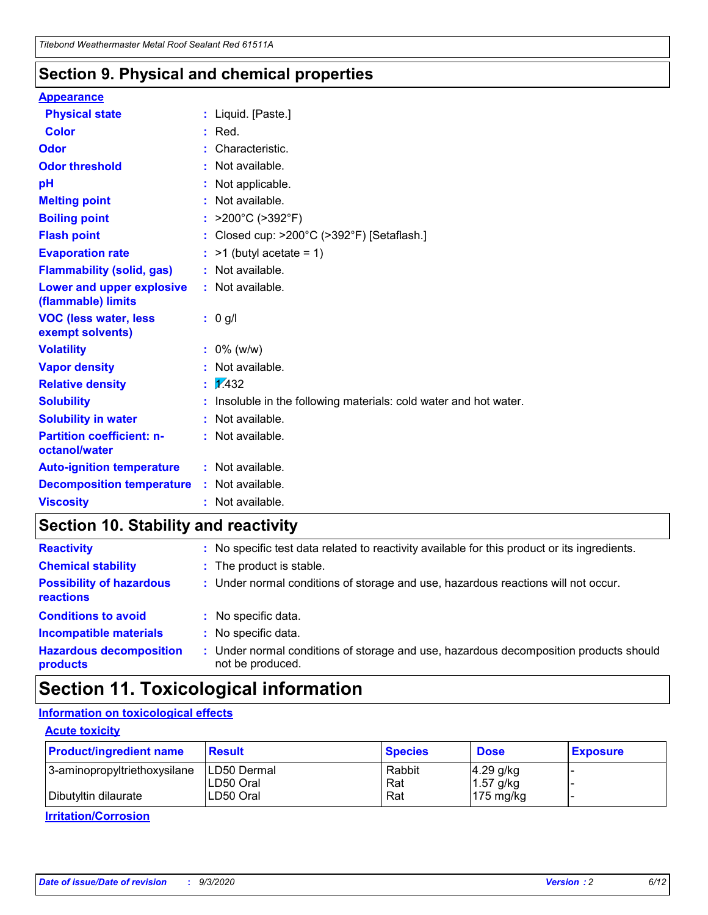### **Section 9. Physical and chemical properties**

#### **Appearance**

| <b>Physical state</b>                             |    | : Liquid. [Paste.]                                              |
|---------------------------------------------------|----|-----------------------------------------------------------------|
| <b>Color</b>                                      |    | Red.                                                            |
| Odor                                              |    | Characteristic.                                                 |
| <b>Odor threshold</b>                             | ÷. | Not available.                                                  |
| pH                                                |    | Not applicable.                                                 |
| <b>Melting point</b>                              |    | : Not available.                                                |
| <b>Boiling point</b>                              |    | : $>200^{\circ}$ C ( $>392^{\circ}$ F)                          |
| <b>Flash point</b>                                |    | : Closed cup: >200°C (>392°F) [Setaflash.]                      |
| <b>Evaporation rate</b>                           |    | $:$ >1 (butyl acetate = 1)                                      |
| <b>Flammability (solid, gas)</b>                  |    | : Not available.                                                |
| Lower and upper explosive<br>(flammable) limits   |    | : Not available.                                                |
| <b>VOC (less water, less)</b><br>exempt solvents) |    | : 0 g/l                                                         |
| <b>Volatility</b>                                 |    | $: 0\%$ (w/w)                                                   |
| <b>Vapor density</b>                              |    | Not available.                                                  |
| <b>Relative density</b>                           |    | $\frac{1}{2}$ 2.432                                             |
| <b>Solubility</b>                                 |    | Insoluble in the following materials: cold water and hot water. |
| <b>Solubility in water</b>                        |    | Not available.                                                  |
| <b>Partition coefficient: n-</b><br>octanol/water |    | $:$ Not available.                                              |
| <b>Auto-ignition temperature</b>                  |    | : Not available.                                                |
| <b>Decomposition temperature</b>                  |    | : Not available.                                                |
| <b>Viscosity</b>                                  |    | : Not available.                                                |

### **Section 10. Stability and reactivity**

| <b>Reactivity</b>                            |    | : No specific test data related to reactivity available for this product or its ingredients.            |
|----------------------------------------------|----|---------------------------------------------------------------------------------------------------------|
| <b>Chemical stability</b>                    |    | : The product is stable.                                                                                |
| <b>Possibility of hazardous</b><br>reactions |    | : Under normal conditions of storage and use, hazardous reactions will not occur.                       |
| <b>Conditions to avoid</b>                   |    | : No specific data.                                                                                     |
| <b>Incompatible materials</b>                |    | : No specific data.                                                                                     |
| <b>Hazardous decomposition</b><br>products   | ÷. | Under normal conditions of storage and use, hazardous decomposition products should<br>not be produced. |

### **Section 11. Toxicological information**

#### **Information on toxicological effects**

#### **Acute toxicity**

| <b>Product/ingredient name</b> | <b>Result</b>           | <b>Species</b> | <b>Dose</b>                | <b>Exposure</b> |
|--------------------------------|-------------------------|----------------|----------------------------|-----------------|
| 3-aminopropyltriethoxysilane   | <b>ILD50 Dermal</b>     | Rabbit         | 4.29 g/kg                  |                 |
| Dibutyltin dilaurate           | ILD50 Oral<br>LD50 Oral | Rat<br>Rat     | $1.57$ g/kg<br>175 $mg/kg$ |                 |
|                                |                         |                |                            |                 |

**Irritation/Corrosion**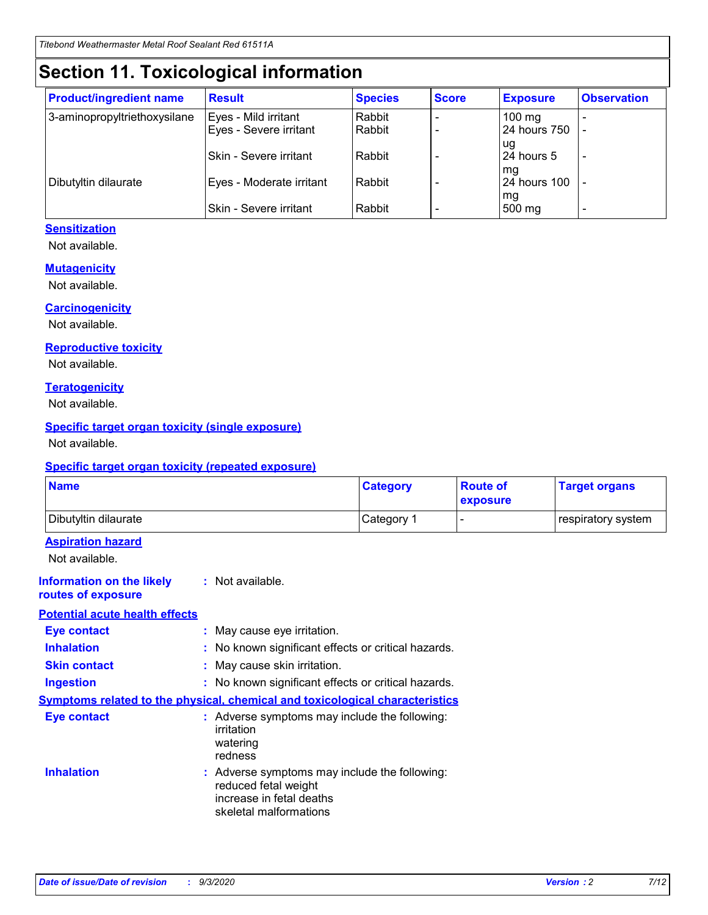# **Section 11. Toxicological information**

| <b>Product/ingredient name</b> | <b>Result</b>                 | <b>Species</b> | <b>Score</b> | <b>Exposure</b>    | <b>Observation</b>       |
|--------------------------------|-------------------------------|----------------|--------------|--------------------|--------------------------|
| 3-aminopropyltriethoxysilane   | Eyes - Mild irritant          | Rabbit         |              | $100 \text{ mg}$   |                          |
|                                | Eyes - Severe irritant        | Rabbit         |              | 24 hours 750       |                          |
|                                |                               |                |              | ug                 |                          |
|                                | <b>Skin - Severe irritant</b> | Rabbit         |              | 24 hours 5         | $\overline{\phantom{a}}$ |
| Dibutyltin dilaurate           | Eyes - Moderate irritant      | Rabbit         |              | mg<br>24 hours 100 |                          |
|                                |                               |                |              | mg                 |                          |
|                                | Skin - Severe irritant        | Rabbit         |              | 500 mg             | -                        |

#### **Sensitization**

Not available.

#### **Mutagenicity**

Not available.

#### **Carcinogenicity**

Not available.

#### **Reproductive toxicity**

Not available.

#### **Teratogenicity**

Not available.

#### **Specific target organ toxicity (single exposure)**

Not available.

#### **Specific target organ toxicity (repeated exposure)**

| <b>Name</b>                                                                  |                                                                                    | <b>Category</b>                                     | <b>Route of</b><br>exposure | <b>Target organs</b> |  |
|------------------------------------------------------------------------------|------------------------------------------------------------------------------------|-----------------------------------------------------|-----------------------------|----------------------|--|
| Dibutyltin dilaurate                                                         |                                                                                    | Category 1                                          | $\overline{\phantom{0}}$    | respiratory system   |  |
| <b>Aspiration hazard</b><br>Not available.                                   |                                                                                    |                                                     |                             |                      |  |
| <b>Information on the likely</b><br>routes of exposure                       | : Not available.                                                                   |                                                     |                             |                      |  |
| <b>Potential acute health effects</b>                                        |                                                                                    |                                                     |                             |                      |  |
| <b>Eye contact</b>                                                           | : May cause eye irritation.                                                        |                                                     |                             |                      |  |
| <b>Inhalation</b>                                                            |                                                                                    | : No known significant effects or critical hazards. |                             |                      |  |
| <b>Skin contact</b>                                                          |                                                                                    | : May cause skin irritation.                        |                             |                      |  |
| <b>Ingestion</b>                                                             |                                                                                    | : No known significant effects or critical hazards. |                             |                      |  |
| Symptoms related to the physical, chemical and toxicological characteristics |                                                                                    |                                                     |                             |                      |  |
| <b>Eye contact</b>                                                           | : Adverse symptoms may include the following:<br>irritation<br>watering<br>redness |                                                     |                             |                      |  |
| <b>Inhalation</b>                                                            | reduced fetal weight<br>increase in fetal deaths<br>skeletal malformations         | : Adverse symptoms may include the following:       |                             |                      |  |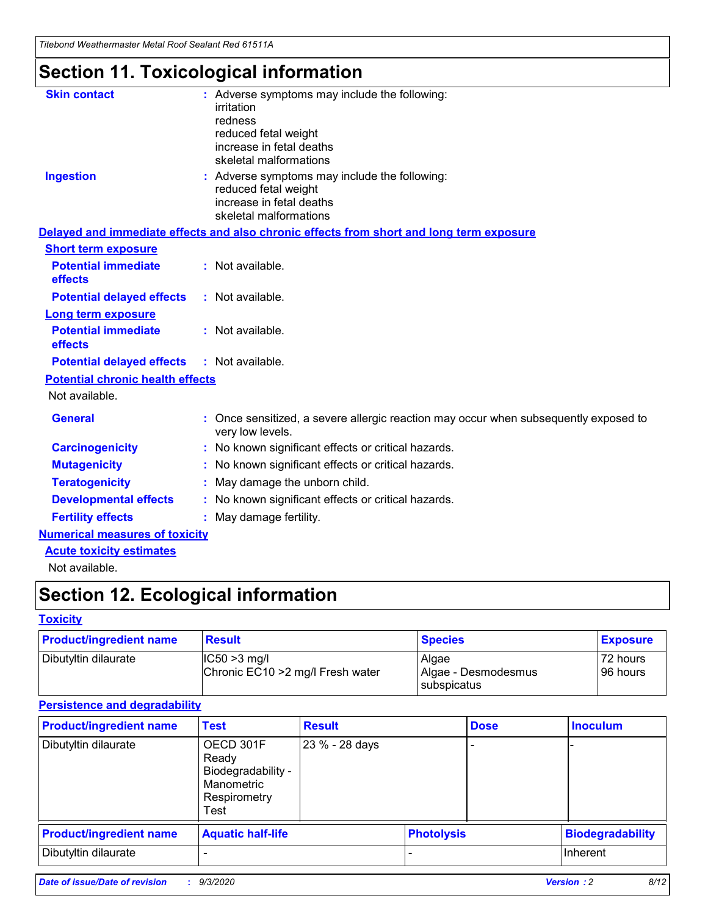*Titebond Weathermaster Metal Roof Sealant Red 61511A*

# **Section 11. Toxicological information**

| <b>Skin contact</b>                     | : Adverse symptoms may include the following:                                                            |
|-----------------------------------------|----------------------------------------------------------------------------------------------------------|
|                                         | irritation                                                                                               |
|                                         | redness<br>reduced fetal weight                                                                          |
|                                         | increase in fetal deaths                                                                                 |
|                                         | skeletal malformations                                                                                   |
| <b>Ingestion</b>                        | : Adverse symptoms may include the following:                                                            |
|                                         | reduced fetal weight<br>increase in fetal deaths                                                         |
|                                         | skeletal malformations                                                                                   |
|                                         | Delayed and immediate effects and also chronic effects from short and long term exposure                 |
| <b>Short term exposure</b>              |                                                                                                          |
| <b>Potential immediate</b><br>effects   | : Not available.                                                                                         |
| <b>Potential delayed effects</b>        | : Not available.                                                                                         |
| <b>Long term exposure</b>               |                                                                                                          |
| <b>Potential immediate</b><br>effects   | : Not available.                                                                                         |
| <b>Potential delayed effects</b>        | : Not available.                                                                                         |
| <b>Potential chronic health effects</b> |                                                                                                          |
| Not available.                          |                                                                                                          |
| <b>General</b>                          | : Once sensitized, a severe allergic reaction may occur when subsequently exposed to<br>very low levels. |
| <b>Carcinogenicity</b>                  | : No known significant effects or critical hazards.                                                      |
| <b>Mutagenicity</b>                     | : No known significant effects or critical hazards.                                                      |
| <b>Teratogenicity</b>                   | May damage the unborn child.                                                                             |
| <b>Developmental effects</b>            | : No known significant effects or critical hazards.                                                      |
| <b>Fertility effects</b>                | : May damage fertility.                                                                                  |
| <b>Numerical measures of toxicity</b>   |                                                                                                          |
| <b>Acute toxicity estimates</b>         |                                                                                                          |
| والمادانون والملا                       |                                                                                                          |

Not available.

# **Section 12. Ecological information**

#### **Toxicity**

| <b>Product/ingredient name</b> | <b>Result</b>                                       | <b>Species</b>               | <b>Exposure</b>       |
|--------------------------------|-----------------------------------------------------|------------------------------|-----------------------|
| Dibutyltin dilaurate           | $ CC50>3$ mg/l<br>Chronic EC10 > 2 mg/l Fresh water | Algae<br>Algae - Desmodesmus | 72 hours<br>196 hours |
|                                |                                                     | <b>I</b> subspicatus         |                       |

#### **Persistence and degradability**

| <b>Product/ingredient name</b> | <b>Test</b>                                                                    | <b>Result</b>  |                   | <b>Dose</b> | <b>Inoculum</b>         |
|--------------------------------|--------------------------------------------------------------------------------|----------------|-------------------|-------------|-------------------------|
| Dibutyltin dilaurate           | OECD 301F<br>Ready<br>Biodegradability -<br>Manometric<br>Respirometry<br>Test | 23 % - 28 days |                   |             |                         |
| <b>Product/ingredient name</b> | <b>Aquatic half-life</b>                                                       |                | <b>Photolysis</b> |             | <b>Biodegradability</b> |
| Dibutyltin dilaurate           |                                                                                |                |                   |             | <b>Inherent</b>         |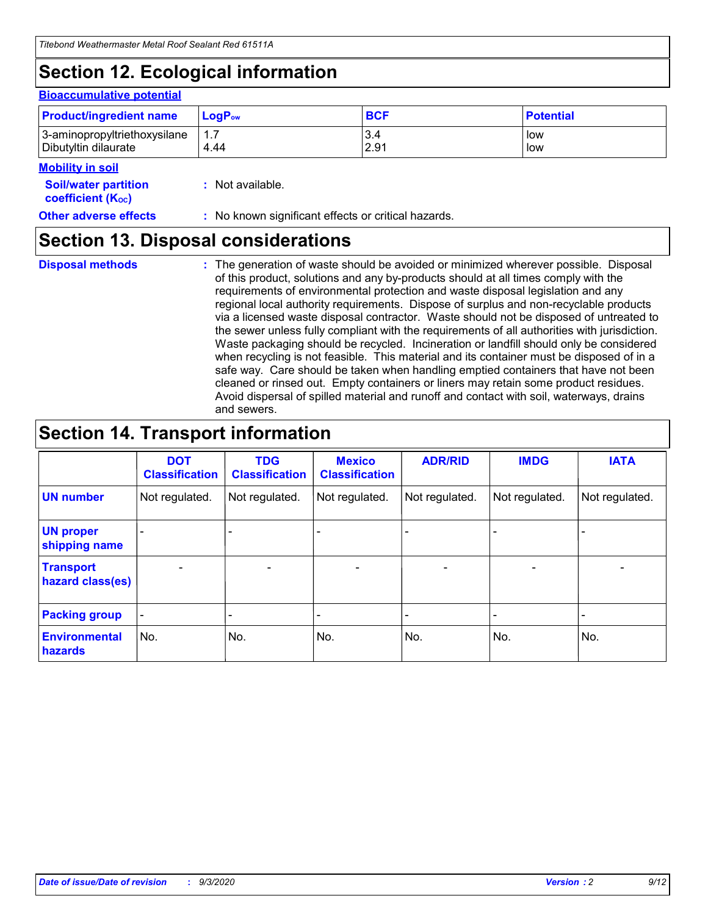# **Section 12. Ecological information**

#### **Bioaccumulative potential**

| <b>Product/ingredient name</b> | <b>LogP</b> <sub>ow</sub> | <b>BCF</b> | <b>Potential</b> |
|--------------------------------|---------------------------|------------|------------------|
| 3-aminopropyltriethoxysilane   | 4.44                      | 3.4        | low              |
| Dibutyltin dilaurate           |                           | 2.91       | low              |

#### **Mobility in soil**

| <b>MODILLY III SUIL</b>                                       |                                                     |
|---------------------------------------------------------------|-----------------------------------------------------|
| <b>Soil/water partition</b><br>coefficient (K <sub>oc</sub> ) | : Not available.                                    |
| <b>Other adverse effects</b>                                  | : No known significant effects or critical hazards. |

### **Section 13. Disposal considerations**

**Disposal methods :**

The generation of waste should be avoided or minimized wherever possible. Disposal of this product, solutions and any by-products should at all times comply with the requirements of environmental protection and waste disposal legislation and any regional local authority requirements. Dispose of surplus and non-recyclable products via a licensed waste disposal contractor. Waste should not be disposed of untreated to the sewer unless fully compliant with the requirements of all authorities with jurisdiction. Waste packaging should be recycled. Incineration or landfill should only be considered when recycling is not feasible. This material and its container must be disposed of in a safe way. Care should be taken when handling emptied containers that have not been cleaned or rinsed out. Empty containers or liners may retain some product residues. Avoid dispersal of spilled material and runoff and contact with soil, waterways, drains and sewers.

### **Section 14. Transport information**

|                                      | <b>DOT</b><br><b>Classification</b> | <b>TDG</b><br><b>Classification</b> | <b>Mexico</b><br><b>Classification</b> | <b>ADR/RID</b> | <b>IMDG</b>              | <b>IATA</b>    |
|--------------------------------------|-------------------------------------|-------------------------------------|----------------------------------------|----------------|--------------------------|----------------|
| <b>UN number</b>                     | Not regulated.                      | Not regulated.                      | Not regulated.                         | Not regulated. | Not regulated.           | Not regulated. |
| <b>UN proper</b><br>shipping name    |                                     |                                     |                                        |                |                          |                |
| <b>Transport</b><br>hazard class(es) |                                     | $\overline{\phantom{0}}$            | $\overline{\phantom{0}}$               |                | $\overline{\phantom{0}}$ |                |
| <b>Packing group</b>                 |                                     |                                     |                                        |                |                          |                |
| <b>Environmental</b><br>hazards      | No.                                 | No.                                 | No.                                    | No.            | No.                      | No.            |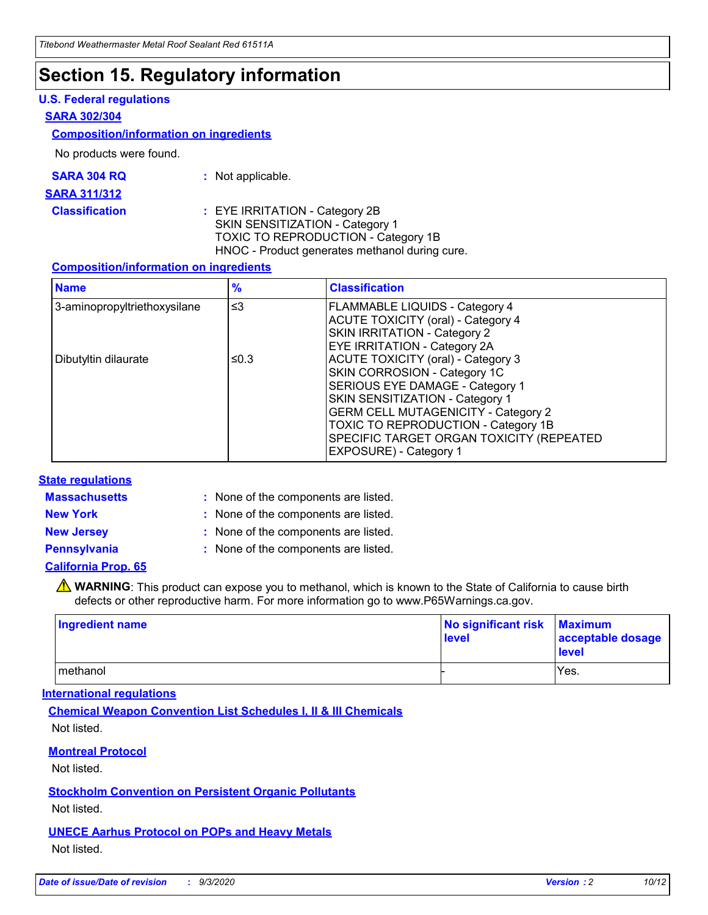### **Section 15. Regulatory information**

#### **U.S. Federal regulations**

#### **SARA 302/304**

#### **Composition/information on ingredients**

No products were found.

| SARA 304 RQ | Not applicable. |
|-------------|-----------------|
|-------------|-----------------|

#### **SARA 311/312**

**Classification :** EYE IRRITATION - Category 2B SKIN SENSITIZATION - Category 1 TOXIC TO REPRODUCTION - Category 1B HNOC - Product generates methanol during cure.

#### **Composition/information on ingredients**

| <b>Name</b>                  | $\frac{9}{6}$ | <b>Classification</b>                                                                                                                                                                                                                                                                                      |
|------------------------------|---------------|------------------------------------------------------------------------------------------------------------------------------------------------------------------------------------------------------------------------------------------------------------------------------------------------------------|
| 3-aminopropyltriethoxysilane | $\leq$ 3      | <b>FLAMMABLE LIQUIDS - Category 4</b><br><b>ACUTE TOXICITY (oral) - Category 4</b><br><b>SKIN IRRITATION - Category 2</b><br>EYE IRRITATION - Category 2A                                                                                                                                                  |
| Dibutyltin dilaurate         | ≤0.3          | <b>ACUTE TOXICITY (oral) - Category 3</b><br>SKIN CORROSION - Category 1C<br>SERIOUS EYE DAMAGE - Category 1<br>SKIN SENSITIZATION - Category 1<br><b>GERM CELL MUTAGENICITY - Category 2</b><br>TOXIC TO REPRODUCTION - Category 1B<br>SPECIFIC TARGET ORGAN TOXICITY (REPEATED<br>EXPOSURE) - Category 1 |

#### **State regulations**

**Massachusetts :**

: None of the components are listed.

**New York :** None of the components are listed. **New Jersey :** None of the components are listed.

**Pennsylvania :** None of the components are listed.

#### **California Prop. 65**

WARNING: This product can expose you to methanol, which is known to the State of California to cause birth defects or other reproductive harm. For more information go to www.P65Warnings.ca.gov.

| Ingredient name | No significant risk<br>level | <b>Maximum</b><br>acceptable dosage<br><b>level</b> |
|-----------------|------------------------------|-----------------------------------------------------|
| l methanol      |                              | Yes.                                                |

#### **International regulations**

**Chemical Weapon Convention List Schedules I, II & III Chemicals** Not listed.

#### **Montreal Protocol**

Not listed.

**Stockholm Convention on Persistent Organic Pollutants**

Not listed.

#### **UNECE Aarhus Protocol on POPs and Heavy Metals** Not listed.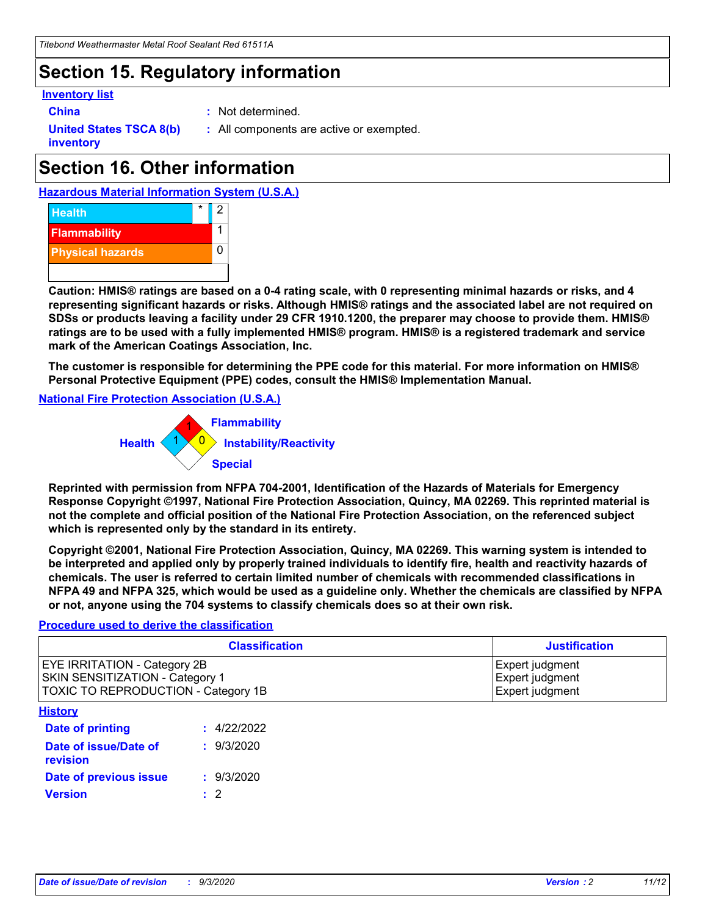### **Section 15. Regulatory information**

#### **Inventory list**

- 
- **China :** Not determined.

**United States TSCA 8(b) inventory**

**:** All components are active or exempted.

# **Section 16. Other information**





**Caution: HMIS® ratings are based on a 0-4 rating scale, with 0 representing minimal hazards or risks, and 4 representing significant hazards or risks. Although HMIS® ratings and the associated label are not required on SDSs or products leaving a facility under 29 CFR 1910.1200, the preparer may choose to provide them. HMIS® ratings are to be used with a fully implemented HMIS® program. HMIS® is a registered trademark and service mark of the American Coatings Association, Inc.**

**The customer is responsible for determining the PPE code for this material. For more information on HMIS® Personal Protective Equipment (PPE) codes, consult the HMIS® Implementation Manual.**

**National Fire Protection Association (U.S.A.)**



**Reprinted with permission from NFPA 704-2001, Identification of the Hazards of Materials for Emergency Response Copyright ©1997, National Fire Protection Association, Quincy, MA 02269. This reprinted material is not the complete and official position of the National Fire Protection Association, on the referenced subject which is represented only by the standard in its entirety.**

**Copyright ©2001, National Fire Protection Association, Quincy, MA 02269. This warning system is intended to be interpreted and applied only by properly trained individuals to identify fire, health and reactivity hazards of chemicals. The user is referred to certain limited number of chemicals with recommended classifications in NFPA 49 and NFPA 325, which would be used as a guideline only. Whether the chemicals are classified by NFPA or not, anyone using the 704 systems to classify chemicals does so at their own risk.**

#### **Procedure used to derive the classification**

| <b>Classification</b>                                                                                                | <b>Justification</b>                                  |
|----------------------------------------------------------------------------------------------------------------------|-------------------------------------------------------|
| <b>EYE IRRITATION - Category 2B</b><br><b>SKIN SENSITIZATION - Category 1</b><br>TOXIC TO REPRODUCTION - Category 1B | Expert judgment<br>Expert judgment<br>Expert judgment |
| <b>History</b>                                                                                                       |                                                       |

| <b>Date of printing</b>           | : 4/22/2022 |
|-----------------------------------|-------------|
| Date of issue/Date of<br>revision | : 9/3/2020  |
| Date of previous issue            | : 9/3/2020  |
| <b>Version</b>                    | $\cdot$ 2   |
|                                   |             |